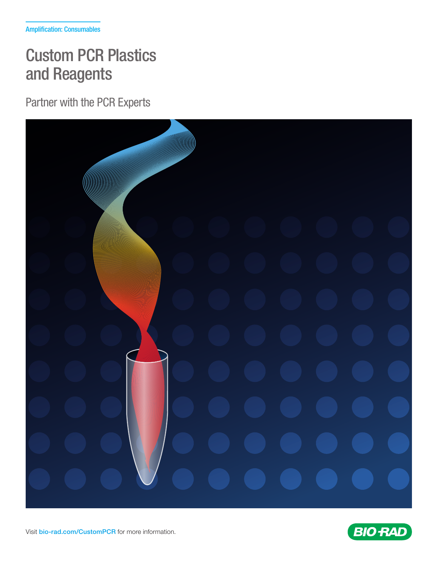# Custom PCR Plastics and Reagents

Partner with the PCR Experts





Visit [bio-rad.com/CustomPCR](https://bio-rad.com/CustomPCR) for more information.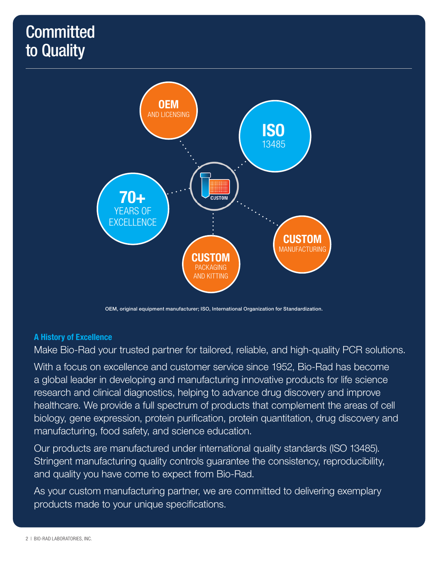# **Committed** to Quality



OEM, original equipment manufacturer; ISO, International Organization for Standardization.

## A History of Excellence

Make Bio-Rad your trusted partner for tailored, reliable, and high-quality PCR solutions.

With a focus on excellence and customer service since 1952, Bio-Rad has become a global leader in developing and manufacturing innovative products for life science research and clinical diagnostics, helping to advance drug discovery and improve healthcare. We provide a full spectrum of products that complement the areas of cell biology, gene expression, protein purification, protein quantitation, drug discovery and manufacturing, food safety, and science education.

Our products are manufactured under international quality standards (ISO 13485). Stringent manufacturing quality controls guarantee the consistency, reproducibility, and quality you have come to expect from Bio-Rad.

As your custom manufacturing partner, we are committed to delivering exemplary products made to your unique specifications.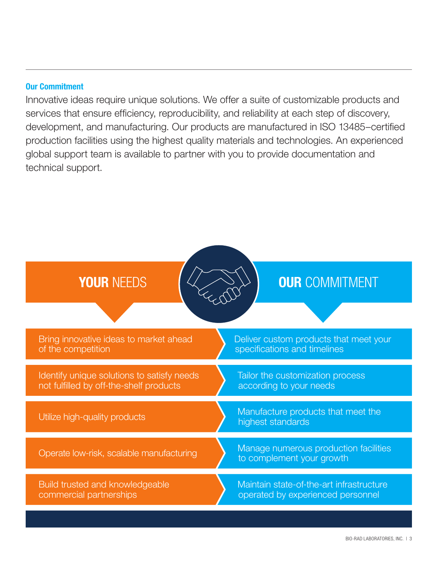# Our Commitment

Innovative ideas require unique solutions. We offer a suite of customizable products and services that ensure efficiency, reproducibility, and reliability at each step of discovery, development, and manufacturing. Our products are manufactured in ISO 13485–certified production facilities using the highest quality materials and technologies. An experienced global support team is available to partner with you to provide documentation and technical support.

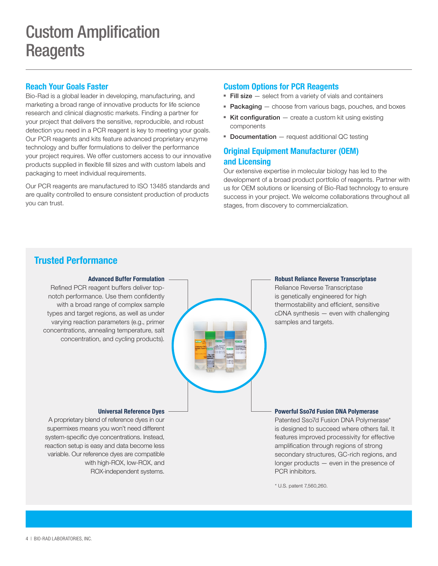### Reach Your Goals Faster

Bio-Rad is a global leader in developing, manufacturing, and marketing a broad range of innovative products for life science research and clinical diagnostic markets. Finding a partner for your project that delivers the sensitive, reproducible, and robust detection you need in a PCR reagent is key to meeting your goals. Our PCR reagents and kits feature advanced proprietary enzyme technology and buffer formulations to deliver the performance your project requires. We offer customers access to our innovative products supplied in flexible fill sizes and with custom labels and packaging to meet individual requirements.

Our PCR reagents are manufactured to ISO 13485 standards and are quality controlled to ensure consistent production of products you can trust.

### Custom Options for PCR Reagents

- **Fill size**  $-$  select from a variety of vials and containers
- Packaging choose from various bags, pouches, and boxes
- **Kit configuration**  $-$  create a custom kit using existing components
- Documentation request additional QC testing

## Original Equipment Manufacturer (OEM) and Licensing

Our extensive expertise in molecular biology has led to the development of a broad product portfolio of reagents. Partner with us for OEM solutions or licensing of Bio-Rad technology to ensure success in your project. We welcome collaborations throughout all stages, from discovery to commercialization.

# Trusted Performance

#### Advanced Buffer Formulation

Refined PCR reagent buffers deliver topnotch performance. Use them confidently with a broad range of complex sample types and target regions, as well as under varying reaction parameters (e.g., primer concentrations, annealing temperature, salt concentration, and cycling products).



#### Robust Reliance Reverse Transcriptase

Reliance Reverse Transcriptase is genetically engineered for high thermostability and efficient, sensitive cDNA synthesis — even with challenging samples and targets.

#### Powerful Sso7d Fusion DNA Polymerase

Patented Sso7d Fusion DNA Polymerase\* is designed to succeed where others fail. It features improved processivity for effective amplification through regions of strong secondary structures, GC-rich regions, and longer products — even in the presence of PCR inhibitors.

\* U.S. patent 7,560,260.

#### Universal Reference Dyes

A proprietary blend of reference dyes in our supermixes means you won't need different system-specific dye concentrations. Instead, reaction setup is easy and data become less variable. Our reference dyes are compatible with high-ROX, low-ROX, and ROX-independent systems.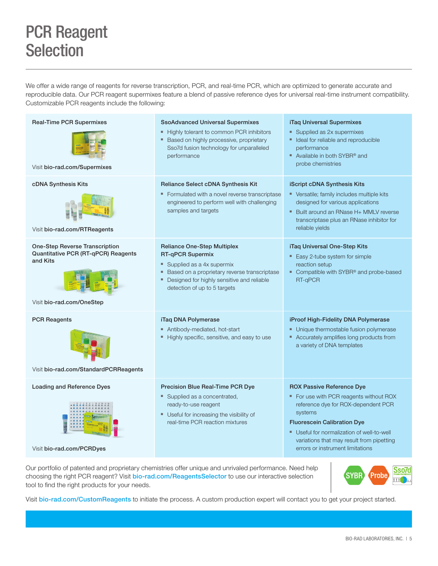# PCR Reagent **Selection**

We offer a wide range of reagents for reverse transcription, PCR, and real-time PCR, which are optimized to generate accurate and reproducible data. Our PCR reagent supermixes feature a blend of passive reference dyes for universal real-time instrument compatibility. Customizable PCR reagents include the following:

| <b>Real-Time PCR Supermixes</b><br>Visit bio-rad.com/Supermixes                                                       | <b>SsoAdvanced Universal Supermixes</b><br>- Highly tolerant to common PCR inhibitors<br>Based on highly processive, proprietary<br>Sso7d fusion technology for unparalleled<br>performance                       | iTaq Universal Supermixes<br>Supplied as 2x supermixes<br>• Ideal for reliable and reproducible<br>performance<br>Available in both SYBR <sup>®</sup> and<br>probe chemistries                                                                                                                   |
|-----------------------------------------------------------------------------------------------------------------------|-------------------------------------------------------------------------------------------------------------------------------------------------------------------------------------------------------------------|--------------------------------------------------------------------------------------------------------------------------------------------------------------------------------------------------------------------------------------------------------------------------------------------------|
| cDNA Synthesis Kits<br>Visit bio-rad.com/RTReagents                                                                   | <b>Reliance Select cDNA Synthesis Kit</b><br>" Formulated with a novel reverse transcriptase<br>engineered to perform well with challenging<br>samples and targets                                                | <b>iScript cDNA Synthesis Kits</b><br>• Versatile; family includes multiple kits<br>designed for various applications<br>• Built around an RNase H+ MMLV reverse<br>transcriptase plus an RNase inhibitor for<br>reliable yields                                                                 |
| <b>One-Step Reverse Transcription</b><br>Quantitative PCR (RT-qPCR) Reagents<br>and Kits<br>Visit bio-rad.com/OneStep | <b>Reliance One-Step Multiplex</b><br>RT-qPCR Supermix<br>Supplied as a 4x supermix<br>Based on a proprietary reverse transcriptase<br>Designed for highly sensitive and reliable<br>detection of up to 5 targets | iTag Universal One-Step Kits<br>Easy 2-tube system for simple<br>reaction setup<br>Compatible with SYBR® and probe-based<br>RT-qPCR                                                                                                                                                              |
| <b>PCR Reagents</b><br>Visit bio-rad.com/StandardPCRReagents                                                          | iTaq DNA Polymerase<br>Antibody-mediated, hot-start<br>" Highly specific, sensitive, and easy to use                                                                                                              | iProof High-Fidelity DNA Polymerase<br>• Unique thermostable fusion polymerase<br>• Accurately amplifies long products from<br>a variety of DNA templates                                                                                                                                        |
| <b>Loading and Reference Dyes</b><br>Visit bio-rad.com/PCRDyes                                                        | Precision Blue Real-Time PCR Dye<br>Supplied as a concentrated,<br>ready-to-use reagent<br>Useful for increasing the visibility of<br>real-time PCR reaction mixtures                                             | <b>ROX Passive Reference Dye</b><br>• For use with PCR reagents without ROX<br>reference dye for ROX-dependent PCR<br>systems<br><b>Fluorescein Calibration Dye</b><br>Useful for normalization of well-to-well<br>variations that may result from pipetting<br>errors or instrument limitations |

Our portfolio of patented and proprietary chemistries offer unique and unrivaled performance. Need help choosing the right PCR reagent? Visit [bio-rad.com/ReagentsSelector](https://bio-rad.com/ReagentsSelector) to use our interactive selection tool to find the right products for your needs.



Visit [bio-rad.com/CustomReagents](https://bio-rad.com/CustomReagents) to initiate the process. A custom production expert will contact you to get your project started.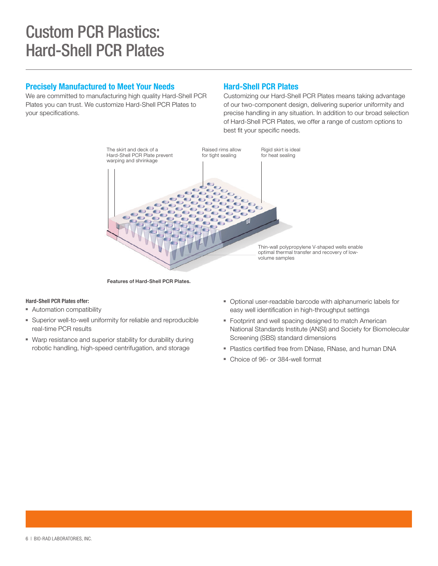# Custom PCR Plastics: Hard-Shell PCR Plates

### Precisely Manufactured to Meet Your Needs

We are committed to manufacturing high quality Hard-Shell PCR Plates you can trust. We customize Hard-Shell PCR Plates to your specifications.

### Hard-Shell PCR Plates

Customizing our Hard-Shell PCR Plates means taking advantage of our two-component design, delivering superior uniformity and precise handling in any situation. In addition to our broad selection of Hard-Shell PCR Plates, we offer a range of custom options to best fit your specific needs.



Features of Hard-Shell PCR Plates.

#### Hard-Shell PCR Plates offer:

- Automation compatibility
- Superior well-to-well uniformity for reliable and reproducible real-time PCR results
- Warp resistance and superior stability for durability during robotic handling, high-speed centrifugation, and storage
- Optional user-readable barcode with alphanumeric labels for easy well identification in high-throughput settings
- Footprint and well spacing designed to match American National Standards Institute (ANSI) and Society for Biomolecular Screening (SBS) standard dimensions
- Plastics certified free from DNase, RNase, and human DNA
- Choice of 96- or 384-well format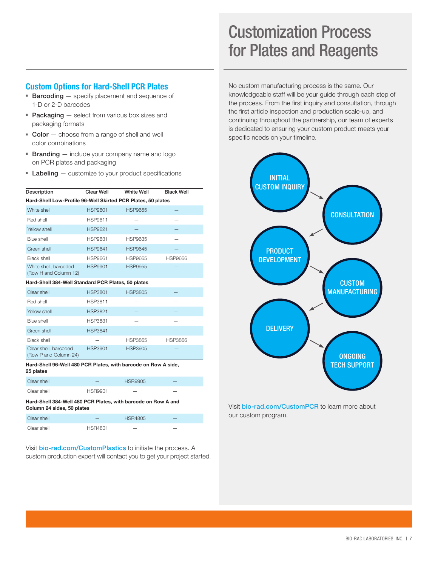# Customization Process for Plates and Reagents

### Custom Options for Hard-Shell PCR Plates

- Barcoding specify placement and sequence of 1-D or 2-D barcodes
- Packaging select from various box sizes and packaging formats
- Color choose from a range of shell and well color combinations
- **Branding**  $-$  include your company name and logo on PCR plates and packaging
- $\blacksquare$  Labeling  $-$  customize to your product specifications

| Description                                                                                 | Clear Well     | <b>White Well</b> | <b>Black Well</b> |  |  |  |
|---------------------------------------------------------------------------------------------|----------------|-------------------|-------------------|--|--|--|
| Hard-Shell Low-Profile 96-Well Skirted PCR Plates, 50 plates                                |                |                   |                   |  |  |  |
| White shell                                                                                 | <b>HSP9601</b> | <b>HSP9655</b>    |                   |  |  |  |
| Red shell                                                                                   | HSP9611        |                   |                   |  |  |  |
| Yellow shell                                                                                | <b>HSP9621</b> |                   |                   |  |  |  |
| Blue shell                                                                                  | <b>HSP9631</b> | <b>HSP9635</b>    |                   |  |  |  |
| Green shell                                                                                 | <b>HSP9641</b> | <b>HSP9645</b>    |                   |  |  |  |
| Black shell                                                                                 | <b>HSP9661</b> | <b>HSP9665</b>    | <b>HSP9666</b>    |  |  |  |
| White shell, barcoded<br>(Row H and Column 12)                                              | <b>HSP9901</b> | <b>HSP9955</b>    |                   |  |  |  |
| Hard-Shell 384-Well Standard PCR Plates, 50 plates                                          |                |                   |                   |  |  |  |
| Clear shell                                                                                 | <b>HSP3801</b> | <b>HSP3805</b>    |                   |  |  |  |
| Red shell                                                                                   | <b>HSP3811</b> |                   |                   |  |  |  |
| Yellow shell                                                                                | <b>HSP3821</b> |                   |                   |  |  |  |
| Blue shell                                                                                  | <b>HSP3831</b> |                   |                   |  |  |  |
| Green shell                                                                                 | <b>HSP3841</b> |                   |                   |  |  |  |
| <b>Black shell</b>                                                                          |                | <b>HSP3865</b>    | <b>HSP3866</b>    |  |  |  |
| Clear shell, barcoded<br>(Row P and Column 24)                                              | <b>HSP3901</b> | <b>HSP3905</b>    |                   |  |  |  |
| Hard-Shell 96-Well 480 PCR Plates, with barcode on Row A side,<br>25 plates                 |                |                   |                   |  |  |  |
| Clear shell                                                                                 |                | <b>HSR9905</b>    |                   |  |  |  |
| Clear shell                                                                                 | <b>HSR9901</b> |                   |                   |  |  |  |
| Hard-Shell 384-Well 480 PCR Plates, with barcode on Row A and<br>Column 24 sides, 50 plates |                |                   |                   |  |  |  |

| Clear shell |                | <b>HSR4805</b>           |     |
|-------------|----------------|--------------------------|-----|
| Clear shell | <b>HSR4801</b> | $\overline{\phantom{a}}$ | $-$ |

Visit [bio-rad.com/CustomPlastics](https://bio-rad.com/CustomPlastics) to initiate the process. A custom production expert will contact you to get your project started. No custom manufacturing process is the same. Our knowledgeable staff will be your guide through each step of the process. From the first inquiry and consultation, through the first article inspection and production scale-up, and continuing throughout the partnership, our team of experts is dedicated to ensuring your custom product meets your specific needs on your timeline.



Visit [bio-rad.com/CustomPCR](https://bio-rad.com/CustomPCR) to learn more about our custom program.